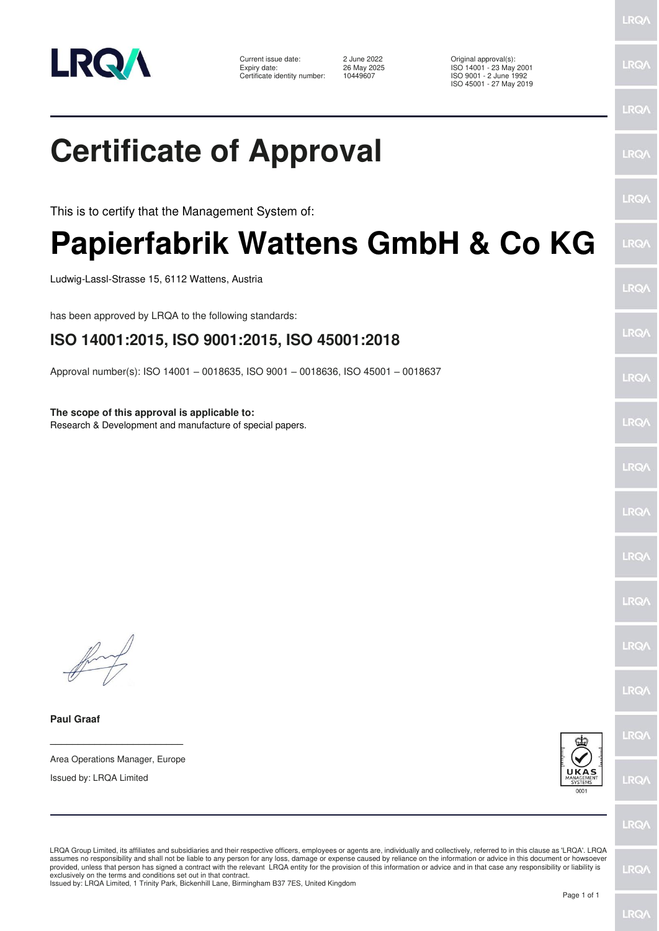

Current issue date: <br>
Expiry date: 
26 May 2025<br>
26 May 2025<br>
26 May 2025<br>
26 May 2025 Certificate identity number:

Expiry date: 26 May 2025 ISO 14001 - 23 May 2001 ISO 9001 - 2 June 1992

**LRQ/** 

### ISO 45001 - 27 May 2019 LRQ/ **Certificate of Approval IRQ/** LRQ/ This is to certify that the Management System of: **Papierfabrik Wattens GmbH & Co KG** LRQ/ Ludwig-Lassl-Strasse 15, 6112 Wattens, Austria **LRQ/** has been approved by LRQA to the following standards: LRQ/ **ISO 14001:2015, ISO 9001:2015, ISO 45001:2018** Approval number(s): ISO 14001 – 0018635, ISO 9001 – 0018636, ISO 45001 – 0018637 LRQ/ **The scope of this approval is applicable to:** LRQ/ Research & Development and manufacture of special papers.LRQ/ LRQ/ LRQ/ LRQ/ LRQ/ LRQ/ **Paul Graaf** LRQ/ **\_\_\_\_\_\_\_\_\_\_\_\_\_\_\_\_\_\_\_\_\_\_\_\_** Area Operations Manager, Europe Issued by: LRQA Limited **LRQ/** LRQ/

LRQA Group Limited, its affiliates and subsidiaries and their respective officers, employees or agents are, individually and collectively, referred to in this clause as 'LRQA'. LRQA assumes no responsibility and shall not be liable to any person for any loss, damage or expense caused by reliance on the information or advice in this document or howsoever provided, unless that person has signed a contract with the relevant LRQA entity for the provision of this information or advice and in that case any responsibility or liability is<br>exclusively on the terms and conditions s

Issued by: LRQA Limited, 1 Trinity Park, Bickenhill Lane, Birmingham B37 7ES, United Kingdom

LRQ/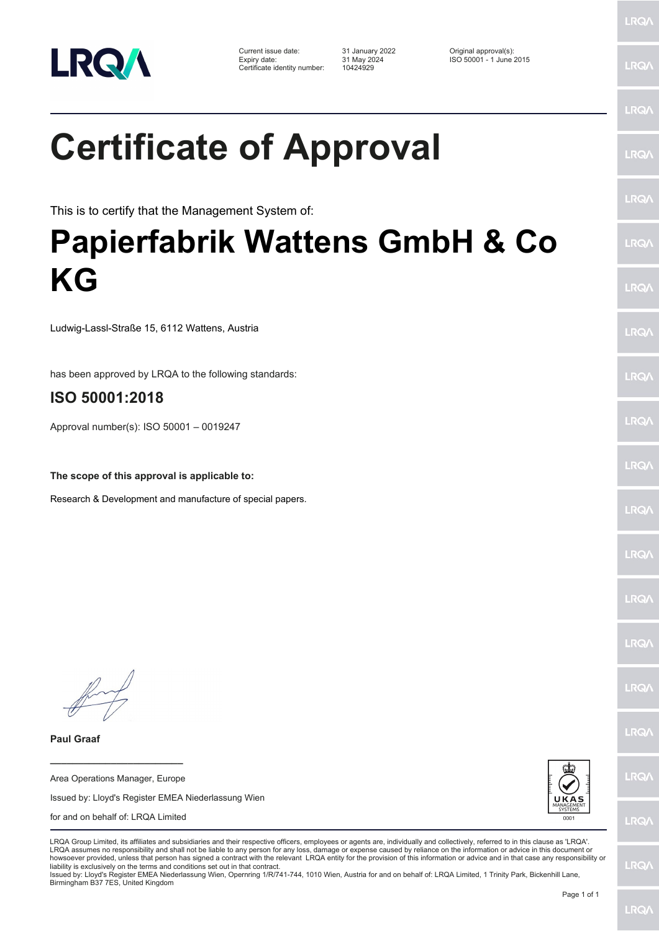

Current issue date: 31 January 2022 Original approval(s): Expiry date: 31 May 2024 ISO 50001 - 1 June 2015 Certificate identity number: 10424929

This is to certify that the Management System of:

## **Papierfabrik Wattens GmbH & Co KG**

Ludwig-Lassl-Straße 15, 6112 Wattens, Austria

has been approved by LRQA to the following standards:

#### **ISO 50001:2018**

Approval number(s): ISO 50001 – 0019247

**The scope of this approval is applicable to:**

Research & Development and manufacture of special papers.

**\_\_\_\_\_\_\_\_\_\_\_\_\_\_\_\_\_\_\_\_\_\_\_\_**

**Paul Graaf**

Area Operations Manager, Europe Issued by: Lloyd's Register EMEA Niederlassung Wien for and on behalf of: LRQA Limited



LRQA Group Limited, its affiliates and subsidiaries and their respective officers, employees or agents are, individually and collectively, referred to in this clause as 'LRQA'. LRQA assumes no responsibility and shall not be liable to any person for any loss, damage or expense caused by reliance on the information or advice in this document or howsoever provided, unless that person has signed a contract with the relevant LRQA entity for the provision of this information or advice and in that case any responsibility or liability is exclusively on the terms and conditions set out in that contract.

Issued by: Lloyd's Register EMEA Niederlassung Wien, Opernring 1/R/741-744, 1010 Wien, Austria for and on behalf of: LRQA Limited, 1 Trinity Park, Bickenhill Lane, Birmingham B37 7ES, United Kingdom

LRQ/

**LRQ/** 

LRQ/

LRQ/

LRQ/

LRQ/

LRQ/

LRQ/

LRQ/

LRQ/

LRQ/

LRQ/

**LRQA** 

LRQ/

LRQ/

LRQ/

LRQ/

**LRQ/** 

LRQ/

**LROA** 

LRQ/